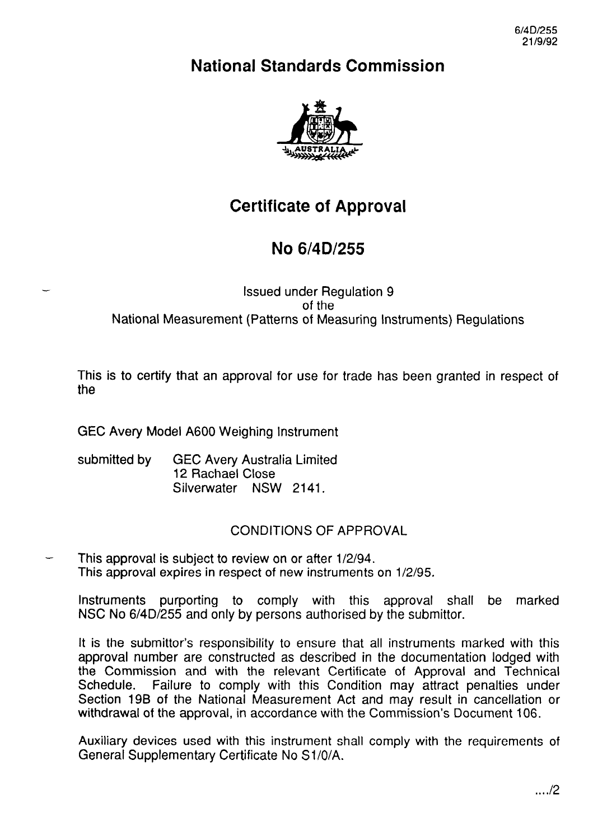6/4D/255 2119192

# National Standards Commission



# Certificate of Approval

# No 6/4D/255

### Issued under Regulation 9 of the National Measurement (Patterns of Measuring Instruments) Regulations

This is to certify that an approval for use for trade has been granted in respect of the

GEC Avery Model A600 Weighing Instrument

submitted by GEC Avery Australia Limited 12 Rachael Close Silverwater NSW 2141.

## CONDITIONS OF APPROVAL

This approval is subject to review on or after 1/2/94. This approval expires in respect of new instruments on 1/2/95.

Instruments purporting to comply with this approval shall be marked NSC No 6/4D/255 and only by persons authorised by the Submittor.

It is the Submittor's responsibility to ensure that all instruments marked with this approval number are constructed as described in the documentation lodged with the Commission and with the relevant Certificate of Approval and Technical Schedule. Failure to comply with this Condition may attract penalties under Failure to comply with this Condition may attract penalties under Section 19B of the National Measurement Act and may result in cancellation or withdrawal of the approval, in accordance with the Commission's Document 106.

Auxiliary devices used with this instrument shall comply with the requirements of General Supplementary Certificate No S1/0/A.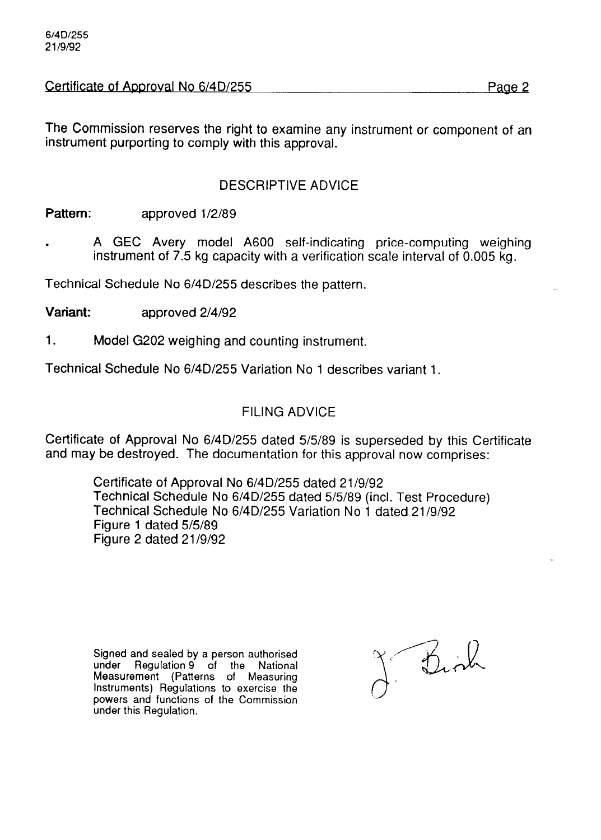Certificate of Approval No 6/4D/255 Page 2

The Commission reserves the right to examine any instrument or component of an instrument purporting to comply with this approval.

## DESCRIPTIVE ADVICE

Pattern: approved 1/2/89

. A GEC Avery model A600 self-indicating price-computing weighing instrument of 7.5 kg capacity with a verification scale interval of 0.005 kg.

Technical Schedule No 6/4D/255 describes the pattern.

Variant: approved 2/4/92

1. Model G202 weighing and counting instrument.

Technical Schedule No 6/4D/255 Variation No 1 describes variant 1.

### FILING ADVICE

Certificate of Approval No 6/4D/255 dated 5/5/89 is superseded by this Certificate and may be destroyed. The documentation for this approval now comprises:

Certificate of Approval No 6/4D/255 dated 21/g/92 Technical Schedule No 6/4D/255 dated 5/5/89 (incl. Test Procedure) Technical Schedule No 6/4D/255 Variation No 1 dated 21/g/92 Figure 1 dated 5/5/89 Figure 2 dated 21/g/92

Signed and sealed by a person authorised under Regulation 9 of the National Measurement (Patterns of Measuring Instruments) Regulations to exercise the powers and functions of the Commission under this Regulation.

J. Birth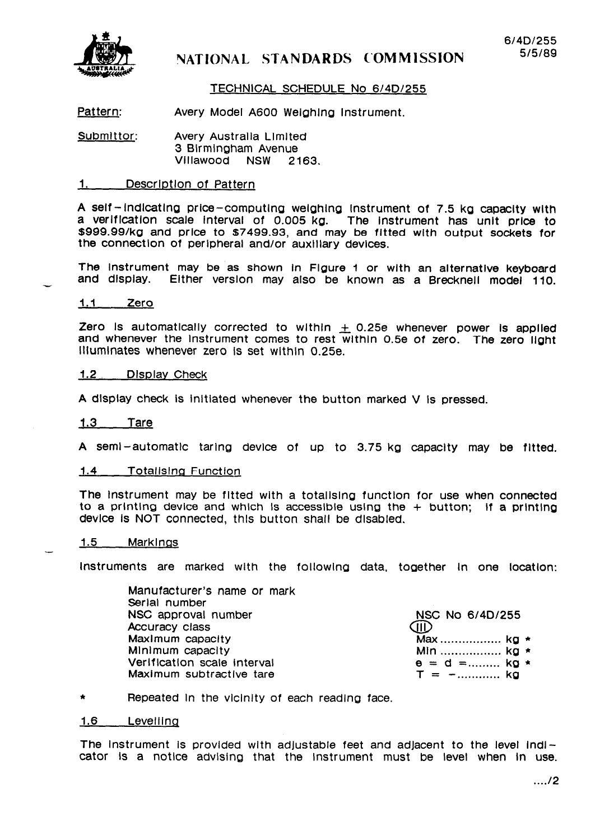

## **NATIONAL STANDARDS C'OMMISSION**

### TECHNICAL SCHEDULE No 6/4D/255

Pattern: Avery Model A600 Welghlna Instrument.

Submittor: Avery Australla Llmlted 3 Birmingham Avenue<br>Villawood NSW 21 Villawood NSW 2163.

### 1. Descrlptlon of Pattern

A self- lndlcatlna price-computlna welahlng Instrument of 7.5 kg capacity With a verltlcatlon scale Interval of 0.005 kg. The Instrument has unlt price to \$999.99/kg and price to \$7499.93, and may be fitted with output sockets for the connectlon of peripheral and/or auxlllary devices.

The Instrument may be as shown In Figure I or wlth an alternatlve keyboard and display. Either verslon may **also** be known as a Brecknell model 110.

#### 1.1 Zero

Zero Is automatically corrected to within  $\pm$  0.25e whenever power is applied and whenever the Instrument comes to rest wlthln 0.56 of zero. The zero light Illuminates whenever zero Is set wlthln 0.25e.

#### 1.2 Dlsplav Check

A dlsplay check Is lnltlated whenever the button marked V Is pressed.

#### 1.3 Tare

A seml-automatic taring device of up to 3.75 kg capacity may be fltted.

#### 1.4 \_\_ Totalising Function

The Instrument may be fltted with a totallslng function for use when connected to a printing device and which is accessible using the  $+$  button; if a printing device Is NOT connected, thls button shall be dlsabled.

### 1.5 Markings

.-

Instruments are marked wlth the followlna data, together In one locatlon:

Manufacturer's name or mark Serial number NSC approval number NSC No 6/4D/255 Accuracy class and the control of the control of the control of the control of the control of the control of t<br>Maximum capacity and the control of the control of the control of the control of the control of the control of MaxImum capacity Max ................. kg \*<br>Minimum capacity Min ................. kg \* Verlfication scale interval  $\begin{array}{ccc} \bullet&=&d= \ldots \ldots \ldots \text{ ko} \\ \text{Maximum } \text{subtractive } \text{tare} \end{array}$ Maximum subtractive tare

Min ................... kg \*<br>e = d =......... kg \*

\* Repeated In the vlclnlty of each readlng face.

#### 1.6 Levelllnq

The instrument is provided with adjustable feet and adjacent to the level indicator Is a notlce advlslng that the instrument must be level when In use.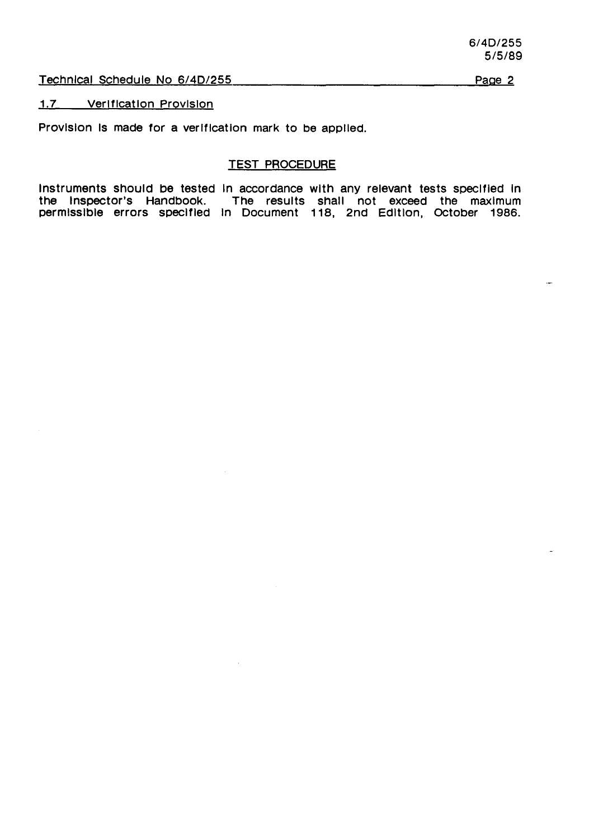Technical Schedule No 6/4D/255

Page 2

1.7 Verlflcatlon Provlslon

Provision is made for a verification mark to be applied.

### TEST PROCEDURE

Instruments should be tested In accordance with any relevant tests speclfled In the Inspector's Handbook. The results shall not exceed the maxlmum permlsslble errors speclfled In Document 118, 2nd Edltlon, October 1986.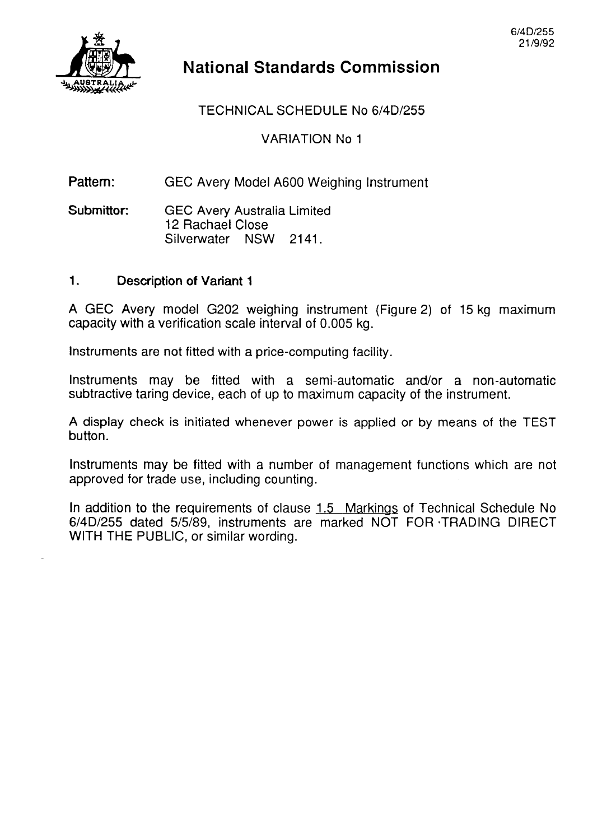

# National Standards Commission

## TECHNICAL SCHEDULE No 6/4D/255

VARIATION No 1

Pattern: GEC Avery Model A600 Weighing Instrument

Submittor: GEC Avery Australia Limited 12 Rachael Close Silverwater NSW 2141.

### 1. Description of Variant 1

A GEC Avery model G202 weighing instrument (Figure 2) of 15 kg maximum capacity with a verification scale interval of 0.005 kg.

Instruments are not fitted with a price-computing facility.

Instruments may be fitted with a semi-automatic and/or a non-automatic subtractive taring device, each of up to maximum capacity of the instrument.

A display check is initiated whenever power is applied or by means of the TEST button.

Instruments may be fitted with a number of management functions which are not approved for trade use, including counting.

In addition to the requirements of clause 1.5 Markinas of Technical Schedule No 6/4D/255 dated 515189, instruments are marked NOT FOR -TRADING DIRECT WITH THE PUBLIC, or similar wording.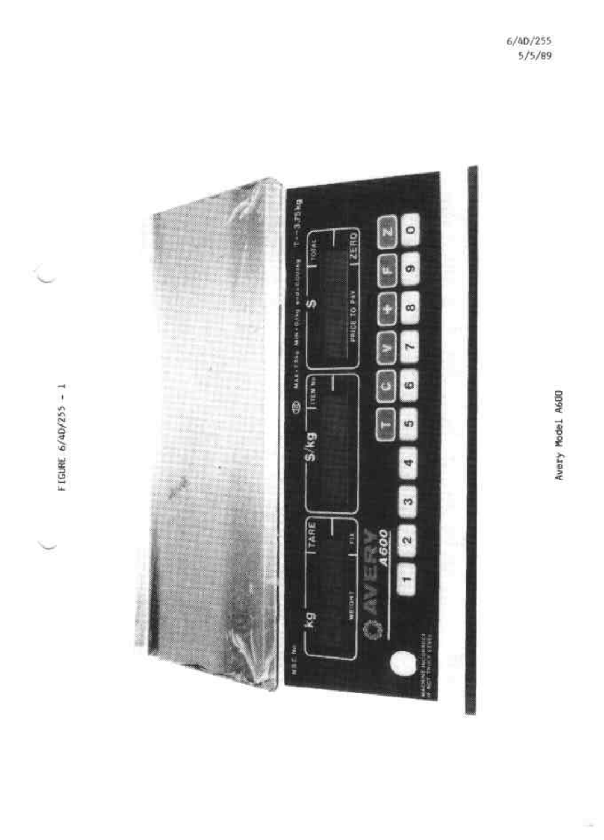

Ł

FIGURE 6/40/255 - 1

Цý